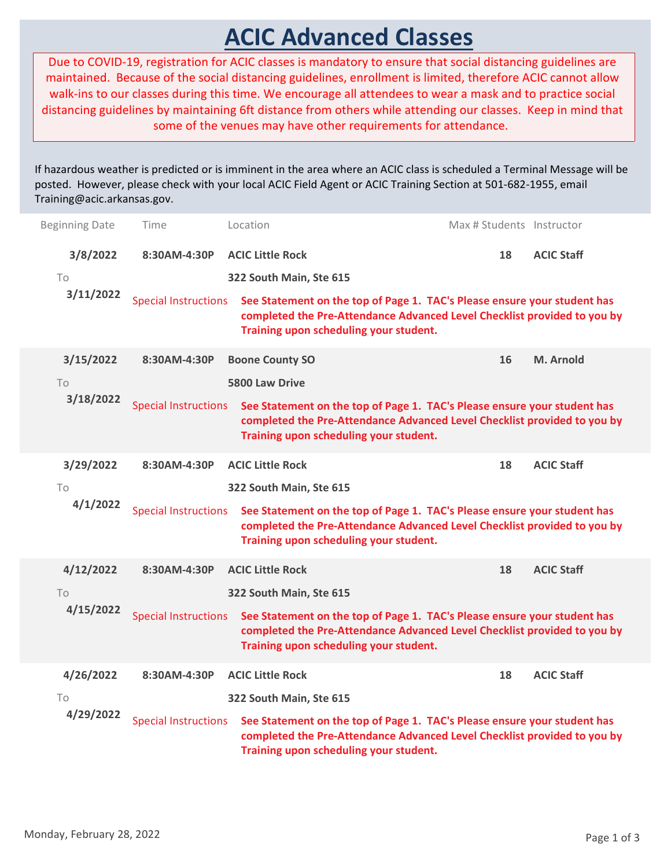## ACIC Advanced Classes

| Training@acic.arkansas.gov.<br><b>Beginning Date</b><br>3/8/2022<br>To | Time<br>8:30AM-4:30P                        | <b>ACIC Advanced Classes</b><br>Due to COVID-19, registration for ACIC classes is mandatory to ensure that social distancing guidelines are<br>maintained. Because of the social distancing guidelines, enrollment is limited, therefore ACIC cannot allow<br>walk-ins to our classes during this time. We encourage all attendees to wear a mask and to practice social<br>distancing guidelines by maintaining 6ft distance from others while attending our classes. Keep in mind that<br>some of the venues may have other requirements for attendance.<br>f hazardous weather is predicted or is imminent in the area where an ACIC class is scheduled a Terminal Message will be<br>oosted. However, please check with your local ACIC Field Agent or ACIC Training Section at 501-682-1955, email<br>Location<br><b>ACIC Little Rock</b><br>322 South Main, Ste 615 | Max # Students Instructor<br>18 | <b>ACIC Staff</b> |
|------------------------------------------------------------------------|---------------------------------------------|---------------------------------------------------------------------------------------------------------------------------------------------------------------------------------------------------------------------------------------------------------------------------------------------------------------------------------------------------------------------------------------------------------------------------------------------------------------------------------------------------------------------------------------------------------------------------------------------------------------------------------------------------------------------------------------------------------------------------------------------------------------------------------------------------------------------------------------------------------------------------|---------------------------------|-------------------|
| 3/11/2022                                                              | <b>Special Instructions</b>                 | See Statement on the top of Page 1. TAC's Please ensure your student has<br>completed the Pre-Attendance Advanced Level Checklist provided to you by<br>Training upon scheduling your student.                                                                                                                                                                                                                                                                                                                                                                                                                                                                                                                                                                                                                                                                            |                                 |                   |
| 3/15/2022<br>To<br>3/18/2022                                           | 8:30AM-4:30P<br><b>Special Instructions</b> | <b>Boone County SO</b><br>5800 Law Drive<br>See Statement on the top of Page 1. TAC's Please ensure your student has<br>completed the Pre-Attendance Advanced Level Checklist provided to you by<br>Training upon scheduling your student.                                                                                                                                                                                                                                                                                                                                                                                                                                                                                                                                                                                                                                | 16                              | M. Arnold         |
| 3/29/2022<br>To<br>4/1/2022                                            | 8:30AM-4:30P<br><b>Special Instructions</b> | <b>ACIC Little Rock</b><br>322 South Main, Ste 615<br>See Statement on the top of Page 1. TAC's Please ensure your student has<br>completed the Pre-Attendance Advanced Level Checklist provided to you by<br>Training upon scheduling your student.                                                                                                                                                                                                                                                                                                                                                                                                                                                                                                                                                                                                                      | 18                              | <b>ACIC Staff</b> |
| 4/12/2022<br>To<br>4/15/2022                                           | 8:30AM-4:30P<br><b>Special Instructions</b> | <b>ACIC Little Rock</b><br>322 South Main, Ste 615<br>See Statement on the top of Page 1. TAC's Please ensure your student has<br>completed the Pre-Attendance Advanced Level Checklist provided to you by<br>Training upon scheduling your student.                                                                                                                                                                                                                                                                                                                                                                                                                                                                                                                                                                                                                      | 18                              | <b>ACIC Staff</b> |
| 4/26/2022<br>To<br>4/29/2022                                           | 8:30AM-4:30P<br><b>Special Instructions</b> | <b>ACIC Little Rock</b><br>322 South Main, Ste 615<br>See Statement on the top of Page 1. TAC's Please ensure your student has<br>completed the Pre-Attendance Advanced Level Checklist provided to you by<br>Training upon scheduling your student.                                                                                                                                                                                                                                                                                                                                                                                                                                                                                                                                                                                                                      | 18                              | <b>ACIC Staff</b> |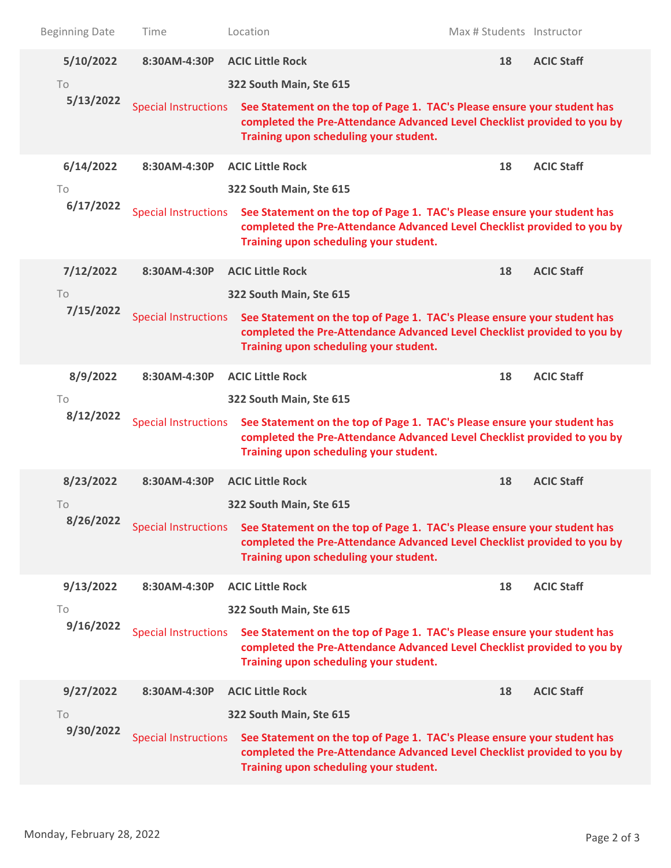| <b>Beginning Date</b> | Time                        | Location                                                                                                                                                                                                                                       | Max # Students Instructor |                   |  |
|-----------------------|-----------------------------|------------------------------------------------------------------------------------------------------------------------------------------------------------------------------------------------------------------------------------------------|---------------------------|-------------------|--|
| 5/10/2022<br>To       | 8:30AM-4:30P                | <b>ACIC Little Rock</b><br>322 South Main, Ste 615                                                                                                                                                                                             | 18                        | <b>ACIC Staff</b> |  |
| 5/13/2022             | <b>Special Instructions</b> | See Statement on the top of Page 1. TAC's Please ensure your student has<br>completed the Pre-Attendance Advanced Level Checklist provided to you by<br>Training upon scheduling your student.                                                 |                           |                   |  |
| 6/14/2022<br>To       | 8:30AM-4:30P                | <b>ACIC Little Rock</b><br>322 South Main, Ste 615                                                                                                                                                                                             | 18                        | <b>ACIC Staff</b> |  |
| 6/17/2022             | <b>Special Instructions</b> | See Statement on the top of Page 1. TAC's Please ensure your student has<br>completed the Pre-Attendance Advanced Level Checklist provided to you by<br>Training upon scheduling your student.                                                 |                           |                   |  |
| 7/12/2022<br>To       | 8:30AM-4:30P                | <b>ACIC Little Rock</b><br>322 South Main, Ste 615                                                                                                                                                                                             | 18                        | <b>ACIC Staff</b> |  |
| 7/15/2022             | <b>Special Instructions</b> | See Statement on the top of Page 1. TAC's Please ensure your student has<br>completed the Pre-Attendance Advanced Level Checklist provided to you by<br>Training upon scheduling your student.                                                 |                           |                   |  |
| 8/9/2022<br>To        | 8:30AM-4:30P                | <b>ACIC Little Rock</b><br>322 South Main, Ste 615                                                                                                                                                                                             | 18                        | <b>ACIC Staff</b> |  |
| 8/12/2022             | <b>Special Instructions</b> | See Statement on the top of Page 1. TAC's Please ensure your student has<br>completed the Pre-Attendance Advanced Level Checklist provided to you by<br>Training upon scheduling your student.                                                 |                           |                   |  |
| 8/23/2022<br>To       | 8:30AM-4:30P                | <b>ACIC Little Rock</b><br>322 South Main, Ste 615                                                                                                                                                                                             | 18                        | <b>ACIC Staff</b> |  |
| 8/26/2022             | <b>Special Instructions</b> | See Statement on the top of Page 1. TAC's Please ensure your student has<br>completed the Pre-Attendance Advanced Level Checklist provided to you by<br>Training upon scheduling your student.                                                 |                           |                   |  |
| 9/13/2022             | 8:30AM-4:30P                | <b>ACIC Little Rock</b>                                                                                                                                                                                                                        | 18                        | <b>ACIC Staff</b> |  |
| To<br>9/16/2022       | <b>Special Instructions</b> | 322 South Main, Ste 615<br>See Statement on the top of Page 1. TAC's Please ensure your student has<br>completed the Pre-Attendance Advanced Level Checklist provided to you by<br>Training upon scheduling your student.                      |                           |                   |  |
| 9/27/2022             | 8:30AM-4:30P                | <b>ACIC Little Rock</b>                                                                                                                                                                                                                        | 18                        | <b>ACIC Staff</b> |  |
| To<br>9/30/2022       |                             | 322 South Main, Ste 615<br>Special Instructions See Statement on the top of Page 1. TAC's Please ensure your student has<br>completed the Pre-Attendance Advanced Level Checklist provided to you by<br>Training upon scheduling your student. |                           |                   |  |